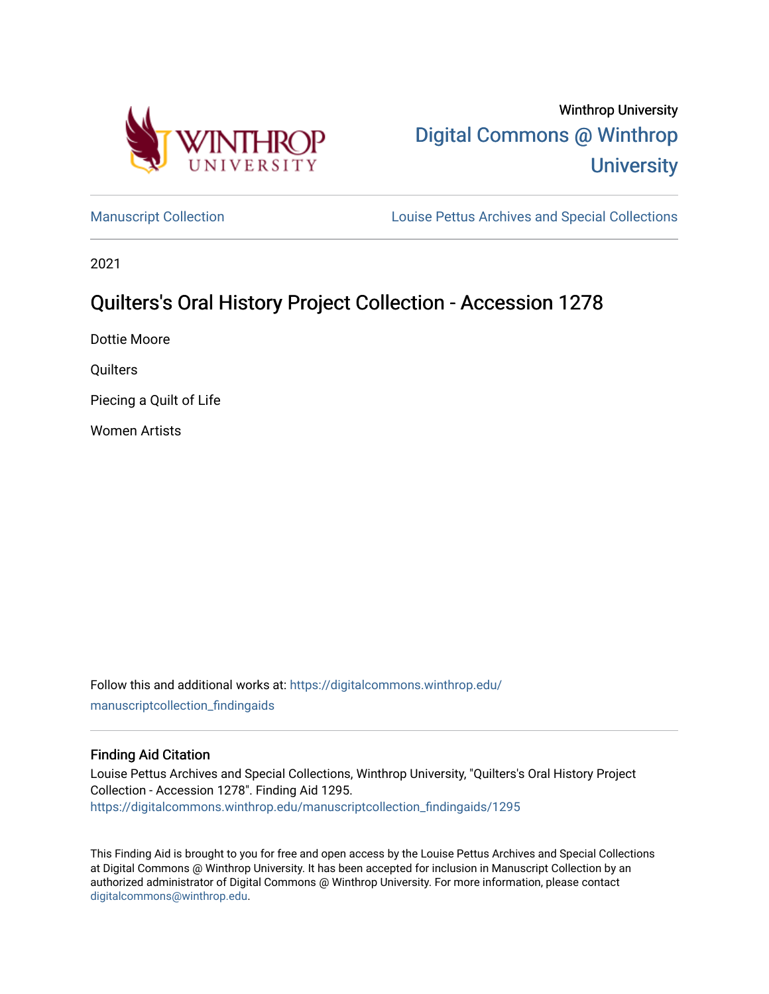

# Winthrop University [Digital Commons @ Winthrop](https://digitalcommons.winthrop.edu/)  **University**

[Manuscript Collection](https://digitalcommons.winthrop.edu/manuscriptcollection_findingaids) **Louise Pettus Archives and Special Collections** 

2021

## Quilters's Oral History Project Collection - Accession 1278

Dottie Moore

**Quilters** 

Piecing a Quilt of Life

Women Artists

Follow this and additional works at: [https://digitalcommons.winthrop.edu/](https://digitalcommons.winthrop.edu/manuscriptcollection_findingaids?utm_source=digitalcommons.winthrop.edu%2Fmanuscriptcollection_findingaids%2F1295&utm_medium=PDF&utm_campaign=PDFCoverPages) [manuscriptcollection\\_findingaids](https://digitalcommons.winthrop.edu/manuscriptcollection_findingaids?utm_source=digitalcommons.winthrop.edu%2Fmanuscriptcollection_findingaids%2F1295&utm_medium=PDF&utm_campaign=PDFCoverPages) 

#### Finding Aid Citation

Louise Pettus Archives and Special Collections, Winthrop University, "Quilters's Oral History Project Collection - Accession 1278". Finding Aid 1295. [https://digitalcommons.winthrop.edu/manuscriptcollection\\_findingaids/1295](https://digitalcommons.winthrop.edu/manuscriptcollection_findingaids/1295?utm_source=digitalcommons.winthrop.edu%2Fmanuscriptcollection_findingaids%2F1295&utm_medium=PDF&utm_campaign=PDFCoverPages) 

This Finding Aid is brought to you for free and open access by the Louise Pettus Archives and Special Collections at Digital Commons @ Winthrop University. It has been accepted for inclusion in Manuscript Collection by an authorized administrator of Digital Commons @ Winthrop University. For more information, please contact [digitalcommons@winthrop.edu](mailto:digitalcommons@winthrop.edu).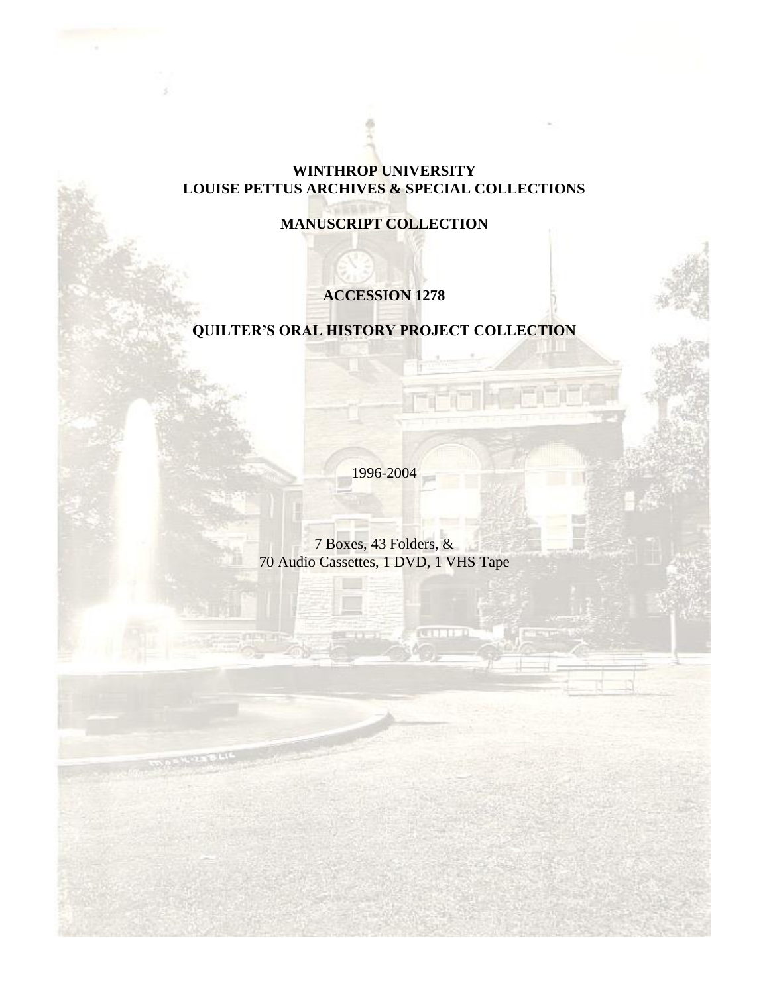#### **WINTHROP UNIVERSITY LOUISE PETTUS ARCHIVES & SPECIAL COLLECTIONS**

### **MANUSCRIPT COLLECTION**

### **ACCESSION 1278**

#### **QUILTER'S ORAL HISTORY PROJECT COLLECTION**

1996-2004

7 Boxes, 43 Folders, & 70 Audio Cassettes, 1 DVD, 1 VHS Tape

H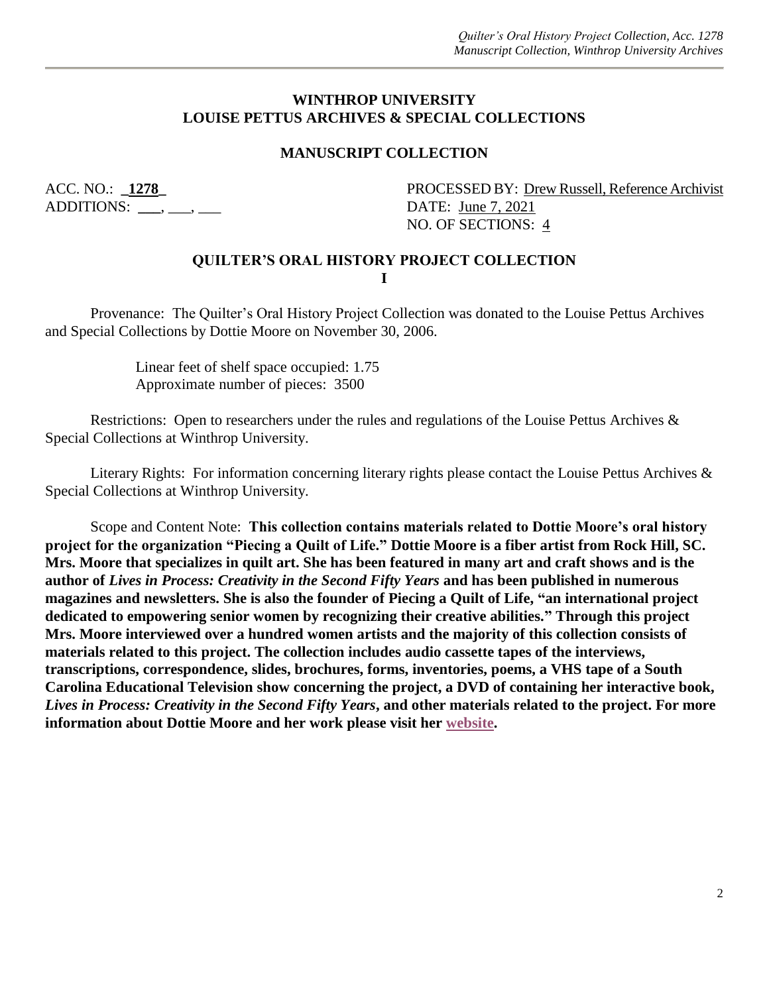#### **WINTHROP UNIVERSITY LOUISE PETTUS ARCHIVES & SPECIAL COLLECTIONS**

#### **MANUSCRIPT COLLECTION**

ADDITIONS: **\_\_\_**, \_\_\_, \_\_\_ DATE: June 7, 2021

ACC. NO.: **1278** PROCESSED BY: Drew Russell, Reference Archivist NO. OF SECTIONS: 4

#### **QUILTER'S ORAL HISTORY PROJECT COLLECTION I**

Provenance: The Quilter's Oral History Project Collection was donated to the Louise Pettus Archives and Special Collections by Dottie Moore on November 30, 2006.

> Linear feet of shelf space occupied: 1.75 Approximate number of pieces: 3500

Restrictions: Open to researchers under the rules and regulations of the Louise Pettus Archives & Special Collections at Winthrop University.

Literary Rights: For information concerning literary rights please contact the Louise Pettus Archives & Special Collections at Winthrop University.

Scope and Content Note: **This collection contains materials related to Dottie Moore's oral history project for the organization "Piecing a Quilt of Life." Dottie Moore is a fiber artist from Rock Hill, SC. Mrs. Moore that specializes in quilt art. She has been featured in many art and craft shows and is the author of** *Lives in Process: Creativity in the Second Fifty Years* **and has been published in numerous magazines and newsletters. She is also the founder of Piecing a Quilt of Life, "an international project dedicated to empowering senior women by recognizing their creative abilities." Through this project Mrs. Moore interviewed over a hundred women artists and the majority of this collection consists of materials related to this project. The collection includes audio cassette tapes of the interviews, transcriptions, correspondence, slides, brochures, forms, inventories, poems, a VHS tape of a South Carolina Educational Television show concerning the project, a DVD of containing her interactive book,**  *Lives in Process: Creativity in the Second Fifty Years***, and other materials related to the project. For more information about Dottie Moore and her work please visit her [website.](https://dottiemoore.com/bio.php)**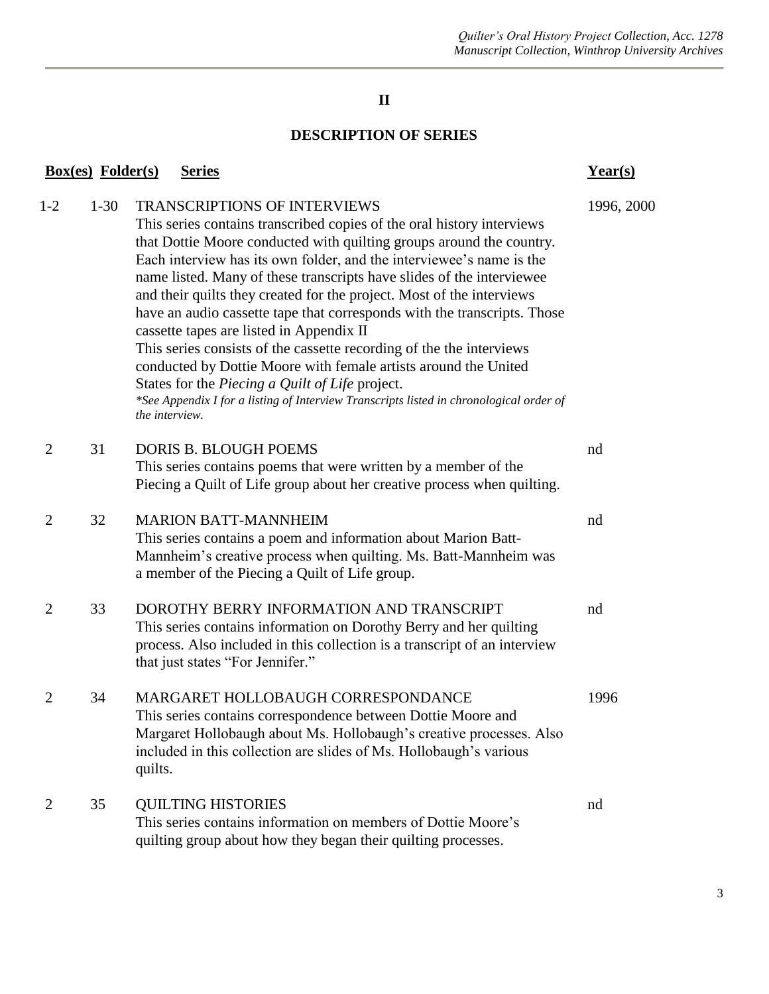### **II**

#### **DESCRIPTION OF SERIES**

|                | <b>Box(es)</b> Folder(s) | <b>Series</b>                                                                                                                                                                                                                                                                                                                                                                                                                                                                                                                                                                                                                                                                                                                                                                                                                                      | Year(s)    |
|----------------|--------------------------|----------------------------------------------------------------------------------------------------------------------------------------------------------------------------------------------------------------------------------------------------------------------------------------------------------------------------------------------------------------------------------------------------------------------------------------------------------------------------------------------------------------------------------------------------------------------------------------------------------------------------------------------------------------------------------------------------------------------------------------------------------------------------------------------------------------------------------------------------|------------|
| $1 - 2$        | $1-30$                   | <b>TRANSCRIPTIONS OF INTERVIEWS</b><br>This series contains transcribed copies of the oral history interviews<br>that Dottie Moore conducted with quilting groups around the country.<br>Each interview has its own folder, and the interviewee's name is the<br>name listed. Many of these transcripts have slides of the interviewee<br>and their quilts they created for the project. Most of the interviews<br>have an audio cassette tape that corresponds with the transcripts. Those<br>cassette tapes are listed in Appendix II<br>This series consists of the cassette recording of the the interviews<br>conducted by Dottie Moore with female artists around the United<br>States for the Piecing a Quilt of Life project.<br>*See Appendix I for a listing of Interview Transcripts listed in chronological order of<br>the interview. | 1996, 2000 |
| $\overline{2}$ | 31                       | <b>DORIS B. BLOUGH POEMS</b><br>This series contains poems that were written by a member of the<br>Piecing a Quilt of Life group about her creative process when quilting.                                                                                                                                                                                                                                                                                                                                                                                                                                                                                                                                                                                                                                                                         | nd         |
| $\overline{2}$ | 32                       | <b>MARION BATT-MANNHEIM</b><br>This series contains a poem and information about Marion Batt-<br>Mannheim's creative process when quilting. Ms. Batt-Mannheim was<br>a member of the Piecing a Quilt of Life group.                                                                                                                                                                                                                                                                                                                                                                                                                                                                                                                                                                                                                                | nd         |
| 2              | 33                       | DOROTHY BERRY INFORMATION AND TRANSCRIPT<br>This series contains information on Dorothy Berry and her quilting<br>process. Also included in this collection is a transcript of an interview<br>that just states "For Jennifer."                                                                                                                                                                                                                                                                                                                                                                                                                                                                                                                                                                                                                    | nd         |
| 2              | 34                       | MARGARET HOLLOBAUGH CORRESPONDANCE<br>This series contains correspondence between Dottie Moore and<br>Margaret Hollobaugh about Ms. Hollobaugh's creative processes. Also<br>included in this collection are slides of Ms. Hollobaugh's various<br>quilts.                                                                                                                                                                                                                                                                                                                                                                                                                                                                                                                                                                                         | 1996       |
| 2              | 35                       | <b>QUILTING HISTORIES</b><br>This series contains information on members of Dottie Moore's<br>quilting group about how they began their quilting processes.                                                                                                                                                                                                                                                                                                                                                                                                                                                                                                                                                                                                                                                                                        | nd         |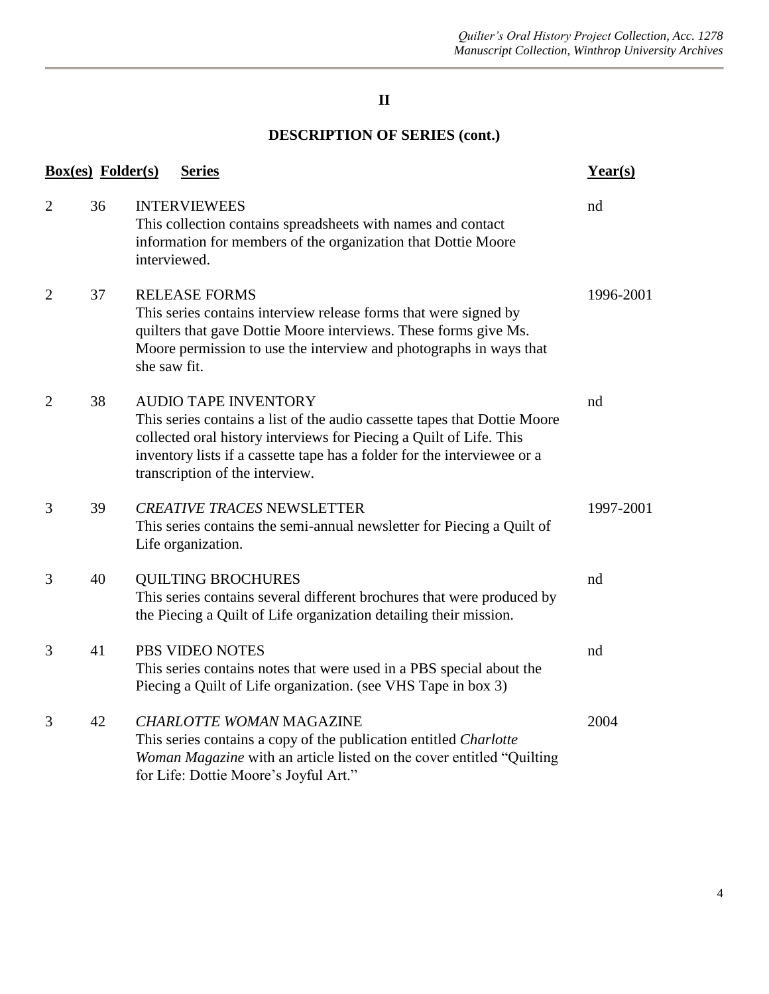#### **II**

### **DESCRIPTION OF SERIES (cont.)**

|                | <b>Box(es)</b> Folder(s) | <b>Series</b>                                                                                                                                                                                                                                                                                  | Year(s)   |
|----------------|--------------------------|------------------------------------------------------------------------------------------------------------------------------------------------------------------------------------------------------------------------------------------------------------------------------------------------|-----------|
| $\overline{2}$ | 36                       | <b>INTERVIEWEES</b><br>This collection contains spreadsheets with names and contact<br>information for members of the organization that Dottie Moore<br>interviewed.                                                                                                                           | nd        |
| $\overline{2}$ | 37                       | <b>RELEASE FORMS</b><br>This series contains interview release forms that were signed by<br>quilters that gave Dottie Moore interviews. These forms give Ms.<br>Moore permission to use the interview and photographs in ways that<br>she saw fit.                                             | 1996-2001 |
| $\overline{2}$ | 38                       | <b>AUDIO TAPE INVENTORY</b><br>This series contains a list of the audio cassette tapes that Dottie Moore<br>collected oral history interviews for Piecing a Quilt of Life. This<br>inventory lists if a cassette tape has a folder for the interviewee or a<br>transcription of the interview. | nd        |
| 3              | 39                       | <b>CREATIVE TRACES NEWSLETTER</b><br>This series contains the semi-annual newsletter for Piecing a Quilt of<br>Life organization.                                                                                                                                                              | 1997-2001 |
| 3              | 40                       | <b>QUILTING BROCHURES</b><br>This series contains several different brochures that were produced by<br>the Piecing a Quilt of Life organization detailing their mission.                                                                                                                       | nd        |
| 3              | 41                       | PBS VIDEO NOTES<br>This series contains notes that were used in a PBS special about the<br>Piecing a Quilt of Life organization. (see VHS Tape in box 3)                                                                                                                                       | nd        |
| 3              | 42                       | <b>CHARLOTTE WOMAN MAGAZINE</b><br>This series contains a copy of the publication entitled Charlotte<br>Woman Magazine with an article listed on the cover entitled "Quilting"<br>for Life: Dottie Moore's Joyful Art."                                                                        | 2004      |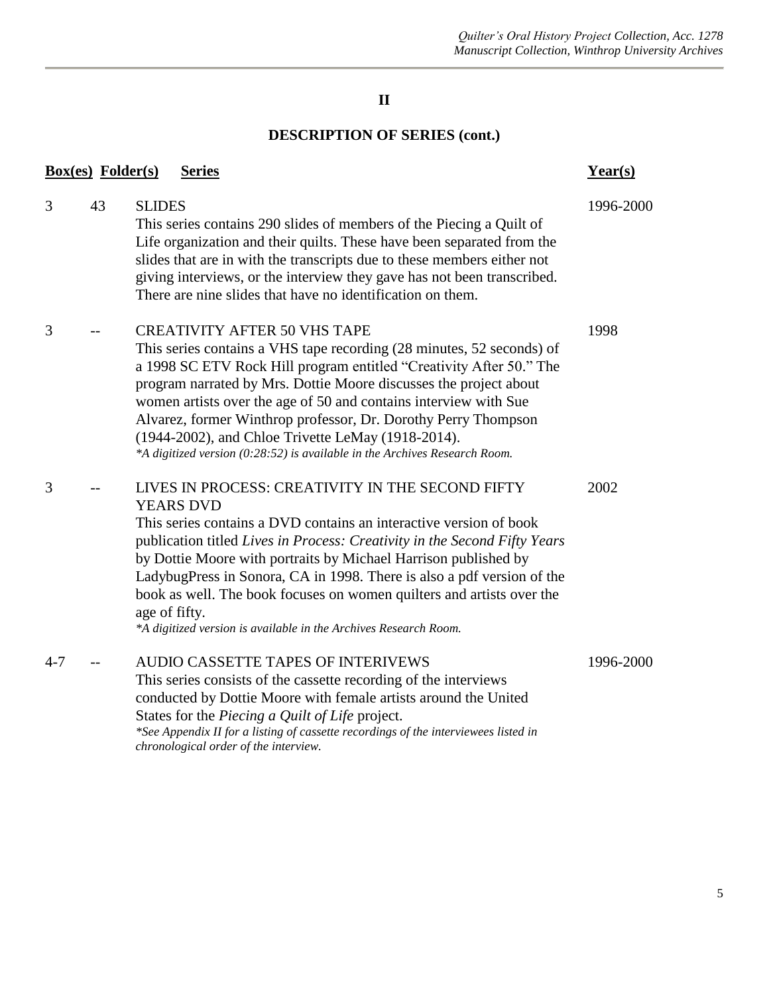#### **II**

### **DESCRIPTION OF SERIES (cont.)**

| <b>Box(es)</b> Folder(s) |    | <b>Series</b>                                                                                                                                                                                                                                                                                                                                                                                                                                                                                                                      | $Year(s)$ |
|--------------------------|----|------------------------------------------------------------------------------------------------------------------------------------------------------------------------------------------------------------------------------------------------------------------------------------------------------------------------------------------------------------------------------------------------------------------------------------------------------------------------------------------------------------------------------------|-----------|
| 3                        | 43 | <b>SLIDES</b><br>This series contains 290 slides of members of the Piecing a Quilt of<br>Life organization and their quilts. These have been separated from the<br>slides that are in with the transcripts due to these members either not<br>giving interviews, or the interview they gave has not been transcribed.<br>There are nine slides that have no identification on them.                                                                                                                                                | 1996-2000 |
| 3                        |    | <b>CREATIVITY AFTER 50 VHS TAPE</b><br>This series contains a VHS tape recording (28 minutes, 52 seconds) of<br>a 1998 SC ETV Rock Hill program entitled "Creativity After 50." The<br>program narrated by Mrs. Dottie Moore discusses the project about<br>women artists over the age of 50 and contains interview with Sue<br>Alvarez, former Winthrop professor, Dr. Dorothy Perry Thompson<br>(1944-2002), and Chloe Trivette LeMay (1918-2014).<br>*A digitized version (0:28:52) is available in the Archives Research Room. | 1998      |
| 3                        |    | LIVES IN PROCESS: CREATIVITY IN THE SECOND FIFTY<br><b>YEARS DVD</b><br>This series contains a DVD contains an interactive version of book<br>publication titled Lives in Process: Creativity in the Second Fifty Years<br>by Dottie Moore with portraits by Michael Harrison published by<br>LadybugPress in Sonora, CA in 1998. There is also a pdf version of the<br>book as well. The book focuses on women quilters and artists over the<br>age of fifty.<br>*A digitized version is available in the Archives Research Room. | 2002      |
| $4 - 7$                  |    | <b>AUDIO CASSETTE TAPES OF INTERIVEWS</b><br>This series consists of the cassette recording of the interviews<br>conducted by Dottie Moore with female artists around the United<br>States for the Piecing a Quilt of Life project.<br>*See Appendix II for a listing of cassette recordings of the interviewees listed in<br>chronological order of the interview.                                                                                                                                                                | 1996-2000 |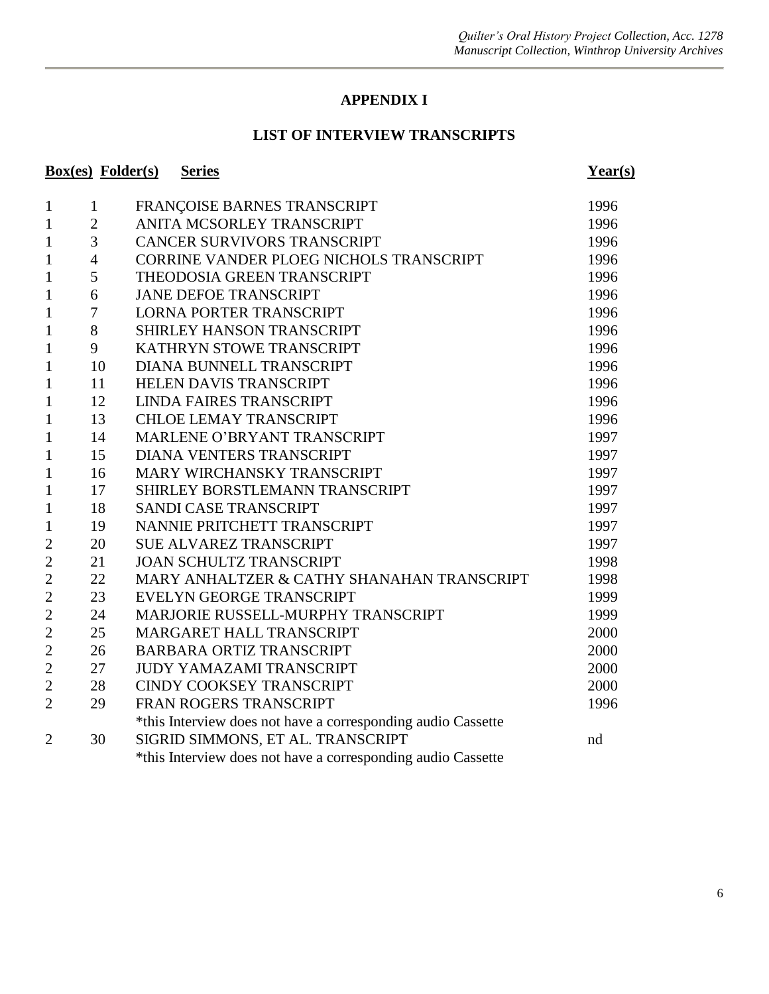#### **APPENDIX I**

#### **LIST OF INTERVIEW TRANSCRIPTS**

|                | <b>Box(es)</b> Folder(s) | <b>Series</b>                                                | Year(s) |
|----------------|--------------------------|--------------------------------------------------------------|---------|
| $\mathbf{1}$   | $\mathbf{1}$             | FRANÇOISE BARNES TRANSCRIPT                                  | 1996    |
| $\mathbf{1}$   | $\overline{2}$           | ANITA MCSORLEY TRANSCRIPT                                    | 1996    |
| $\mathbf{1}$   | 3                        | <b>CANCER SURVIVORS TRANSCRIPT</b>                           | 1996    |
| $\mathbf{1}$   | $\overline{4}$           | CORRINE VANDER PLOEG NICHOLS TRANSCRIPT                      | 1996    |
| $\mathbf{1}$   | 5                        | THEODOSIA GREEN TRANSCRIPT                                   | 1996    |
| $\mathbf{1}$   | 6                        | <b>JANE DEFOE TRANSCRIPT</b>                                 | 1996    |
| $\mathbf{1}$   | 7                        | <b>LORNA PORTER TRANSCRIPT</b>                               | 1996    |
| $\mathbf{1}$   | 8                        | SHIRLEY HANSON TRANSCRIPT                                    | 1996    |
| $\mathbf{1}$   | 9                        | KATHRYN STOWE TRANSCRIPT                                     | 1996    |
| $\mathbf{1}$   | 10                       | DIANA BUNNELL TRANSCRIPT                                     | 1996    |
| $\mathbf{1}$   | 11                       | HELEN DAVIS TRANSCRIPT                                       | 1996    |
| $\mathbf{1}$   | 12                       | <b>LINDA FAIRES TRANSCRIPT</b>                               | 1996    |
| $\mathbf{1}$   | 13                       | <b>CHLOE LEMAY TRANSCRIPT</b>                                | 1996    |
| $\mathbf{1}$   | 14                       | MARLENE O'BRYANT TRANSCRIPT                                  | 1997    |
| $\mathbf{1}$   | 15                       | <b>DIANA VENTERS TRANSCRIPT</b>                              | 1997    |
| $\mathbf{1}$   | 16                       | MARY WIRCHANSKY TRANSCRIPT                                   | 1997    |
| $\mathbf{1}$   | 17                       | SHIRLEY BORSTLEMANN TRANSCRIPT                               | 1997    |
| $\mathbf{1}$   | 18                       | <b>SANDI CASE TRANSCRIPT</b>                                 | 1997    |
| $\mathbf{1}$   | 19                       | NANNIE PRITCHETT TRANSCRIPT                                  | 1997    |
| $\overline{2}$ | 20                       | <b>SUE ALVAREZ TRANSCRIPT</b>                                | 1997    |
| $\overline{2}$ | 21                       | <b>JOAN SCHULTZ TRANSCRIPT</b>                               | 1998    |
| $\overline{2}$ | 22                       | MARY ANHALTZER & CATHY SHANAHAN TRANSCRIPT                   | 1998    |
| $\overline{2}$ | 23                       | EVELYN GEORGE TRANSCRIPT                                     | 1999    |
| $\overline{2}$ | 24                       | MARJORIE RUSSELL-MURPHY TRANSCRIPT                           | 1999    |
| $\overline{2}$ | 25                       | MARGARET HALL TRANSCRIPT                                     | 2000    |
| $\mathbf{2}$   | 26                       | <b>BARBARA ORTIZ TRANSCRIPT</b>                              | 2000    |
| $\overline{2}$ | 27                       | <b>JUDY YAMAZAMI TRANSCRIPT</b>                              | 2000    |
| $\overline{2}$ | 28                       | <b>CINDY COOKSEY TRANSCRIPT</b>                              | 2000    |
| $\overline{2}$ | 29                       | FRAN ROGERS TRANSCRIPT                                       | 1996    |
|                |                          | *this Interview does not have a corresponding audio Cassette |         |
| $\overline{2}$ | 30                       | SIGRID SIMMONS, ET AL. TRANSCRIPT                            | nd      |
|                |                          | *this Interview does not have a corresponding audio Cassette |         |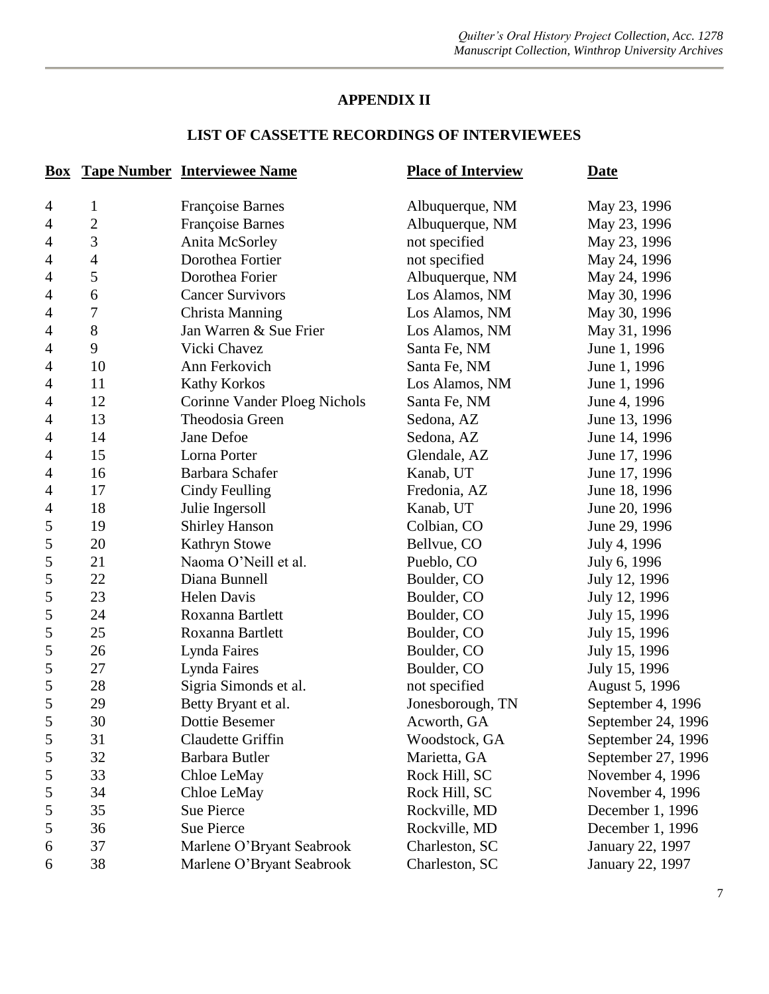#### **APPENDIX II**

## **LIST OF CASSETTE RECORDINGS OF INTERVIEWEES**

| <b>Box</b>     |                | <b>Tape Number Interviewee Name</b> | <b>Place of Interview</b> | <b>Date</b>        |
|----------------|----------------|-------------------------------------|---------------------------|--------------------|
| 4              | 1              | <b>Françoise Barnes</b>             | Albuquerque, NM           | May 23, 1996       |
| $\overline{4}$ | $\overline{c}$ | Françoise Barnes                    | Albuquerque, NM           | May 23, 1996       |
| $\overline{4}$ | 3              | Anita McSorley                      | not specified             | May 23, 1996       |
| $\overline{4}$ | 4              | Dorothea Fortier                    | not specified             | May 24, 1996       |
| $\overline{4}$ | 5              | Dorothea Forier                     | Albuquerque, NM           | May 24, 1996       |
| 4              | 6              | <b>Cancer Survivors</b>             | Los Alamos, NM            | May 30, 1996       |
| $\overline{4}$ | $\overline{7}$ | Christa Manning                     | Los Alamos, NM            | May 30, 1996       |
| $\overline{4}$ | 8              | Jan Warren & Sue Frier              | Los Alamos, NM            | May 31, 1996       |
| $\overline{4}$ | 9              | Vicki Chavez                        | Santa Fe, NM              | June 1, 1996       |
| $\overline{4}$ | 10             | Ann Ferkovich                       | Santa Fe, NM              | June 1, 1996       |
| $\overline{4}$ | 11             | <b>Kathy Korkos</b>                 | Los Alamos, NM            | June 1, 1996       |
| 4              | 12             | Corinne Vander Ploeg Nichols        | Santa Fe, NM              | June 4, 1996       |
| $\overline{4}$ | 13             | Theodosia Green                     | Sedona, AZ                | June 13, 1996      |
| 4              | 14             | Jane Defoe                          | Sedona, AZ                | June 14, 1996      |
| $\overline{4}$ | 15             | Lorna Porter                        | Glendale, AZ              | June 17, 1996      |
| $\overline{4}$ | 16             | Barbara Schafer                     | Kanab, UT                 | June 17, 1996      |
| 4              | 17             | Cindy Feulling                      | Fredonia, AZ              | June 18, 1996      |
| $\overline{4}$ | 18             | Julie Ingersoll                     | Kanab, UT                 | June 20, 1996      |
| 5              | 19             | <b>Shirley Hanson</b>               | Colbian, CO               | June 29, 1996      |
| $\mathfrak{S}$ | 20             | <b>Kathryn Stowe</b>                | Bellyue, CO               | July 4, 1996       |
| $\mathfrak s$  | 21             | Naoma O'Neill et al.                | Pueblo, CO                | July 6, 1996       |
| 5              | 22             | Diana Bunnell                       | Boulder, CO               | July 12, 1996      |
| 5              | 23             | <b>Helen Davis</b>                  | Boulder, CO               | July 12, 1996      |
| $\mathfrak s$  | 24             | Roxanna Bartlett                    | Boulder, CO               | July 15, 1996      |
| $\mathfrak{S}$ | 25             | Roxanna Bartlett                    | Boulder, CO               | July 15, 1996      |
| 5              | 26             | Lynda Faires                        | Boulder, CO               | July 15, 1996      |
| $\mathfrak{S}$ | 27             | Lynda Faires                        | Boulder, CO               | July 15, 1996      |
| $\mathfrak{S}$ | 28             | Sigria Simonds et al.               | not specified             | August 5, 1996     |
| 5              | 29             | Betty Bryant et al.                 | Jonesborough, TN          | September 4, 1996  |
| 5              | 30             | Dottie Besemer                      | Acworth, GA               | September 24, 1996 |
| 5              | 31             | Claudette Griffin                   | Woodstock, GA             | September 24, 1996 |
| 5              | 32             | Barbara Butler                      | Marietta, GA              | September 27, 1996 |
| 5              | 33             | Chloe LeMay                         | Rock Hill, SC             | November 4, 1996   |
| 5              | 34             | Chloe LeMay                         | Rock Hill, SC             | November 4, 1996   |
| 5              | 35             | Sue Pierce                          | Rockville, MD             | December 1, 1996   |
| 5              | 36             | <b>Sue Pierce</b>                   | Rockville, MD             | December 1, 1996   |
| 6              | 37             | Marlene O'Bryant Seabrook           | Charleston, SC            | January 22, 1997   |
| 6              | 38             | Marlene O'Bryant Seabrook           | Charleston, SC            | January 22, 1997   |